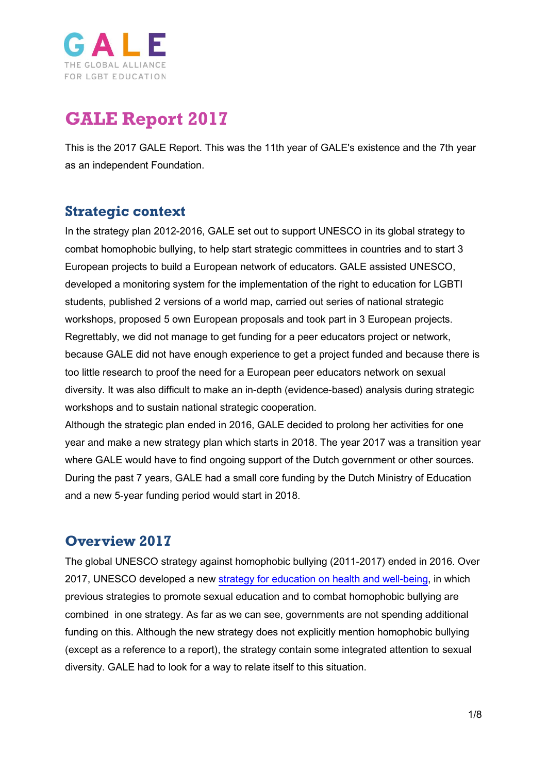

# **GALE Report 2017**

This is the 2017 GALE Report. This was the 11th year of GALE's existence and the 7th year as an independent Foundation.

## **Strategic context**

In the strategy plan 2012-2016, GALE set out to support UNESCO in its global strategy to combat homophobic bullying, to help start strategic committees in countries and to start 3 European projects to build a European network of educators. GALE assisted UNESCO, developed a monitoring system for the implementation of the right to education for LGBTI students, published 2 versions of a world map, carried out series of national strategic workshops, proposed 5 own European proposals and took part in 3 European projects. Regrettably, we did not manage to get funding for a peer educators project or network, because GALE did not have enough experience to get a project funded and because there is too little research to proof the need for a European peer educators network on sexual diversity. It was also difficult to make an in-depth (evidence-based) analysis during strategic workshops and to sustain national strategic cooperation.

Although the strategic plan ended in 2016, GALE decided to prolong her activities for one year and make a new strategy plan which starts in 2018. The year 2017 was a transition year where GALE would have to find ongoing support of the Dutch government or other sources. During the past 7 years, GALE had a small core funding by the Dutch Ministry of Education and a new 5-year funding period would start in 2018.

### **Overview 2017**

The global UNESCO strategy against homophobic bullying (2011-2017) ended in 2016. Over 2017, UNESCO developed a new [strategy for education on health and well-being,](http://unesdoc.unesco.org/images/0024/002464/246453e.pdf) in which previous strategies to promote sexual education and to combat homophobic bullying are combined in one strategy. As far as we can see, governments are not spending additional funding on this. Although the new strategy does not explicitly mention homophobic bullying (except as a reference to a report), the strategy contain some integrated attention to sexual diversity. GALE had to look for a way to relate itself to this situation.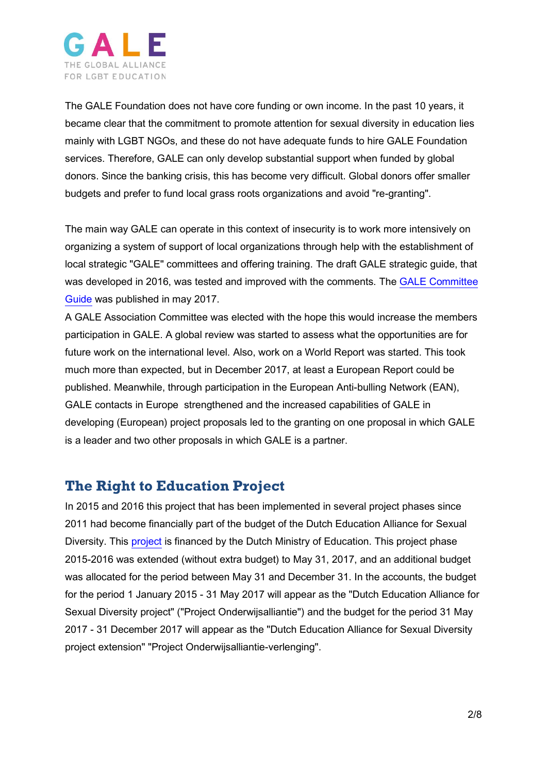

The GALE Foundation does not have core funding or own income. In the past 10 years, it became clear that the commitment to promote attention for sexual diversity in education lies mainly with LGBT NGOs, and these do not have adequate funds to hire GALE Foundation services. Therefore, GALE can only develop substantial support when funded by global donors. Since the banking crisis, this has become very difficult. Global donors offer smaller budgets and prefer to fund local grass roots organizations and avoid "re-granting".

The main way GALE can operate in this context of insecurity is to work more intensively on organizing a system of support of local organizations through help with the establishment of local strategic "GALE" committees and offering training. The draft GALE strategic guide, that was developed in 2016, was tested and improved with the comments. The [GALE Committee](https://www.gale.info/doc/gale-products/GALE_COMMITTEE_GUIDE.pdf)  [Guide](https://www.gale.info/doc/gale-products/GALE_COMMITTEE_GUIDE.pdf) was published in may 2017.

A GALE Association Committee was elected with the hope this would increase the members participation in GALE. A global review was started to assess what the opportunities are for future work on the international level. Also, work on a World Report was started. This took much more than expected, but in December 2017, at least a European Report could be published. Meanwhile, through participation in the European Anti-bulling Network (EAN), GALE contacts in Europe strengthened and the increased capabilities of GALE in developing (European) project proposals led to the granting on one proposal in which GALE is a leader and two other proposals in which GALE is a partner.

### **The Right to Education Project**

In 2015 and 2016 this project that has been implemented in several project phases since 2011 had become financially part of the budget of the Dutch Education Alliance for Sexual Diversity. This [project](http://www.gale.info/en/projects/r2eproject3) is financed by the Dutch Ministry of Education. This project phase 2015-2016 was extended (without extra budget) to May 31, 2017, and an additional budget was allocated for the period between May 31 and December 31. In the accounts, the budget for the period 1 January 2015 - 31 May 2017 will appear as the "Dutch Education Alliance for Sexual Diversity project" ("Project Onderwijsalliantie") and the budget for the period 31 May 2017 - 31 December 2017 will appear as the "Dutch Education Alliance for Sexual Diversity project extension" "Project Onderwijsalliantie-verlenging".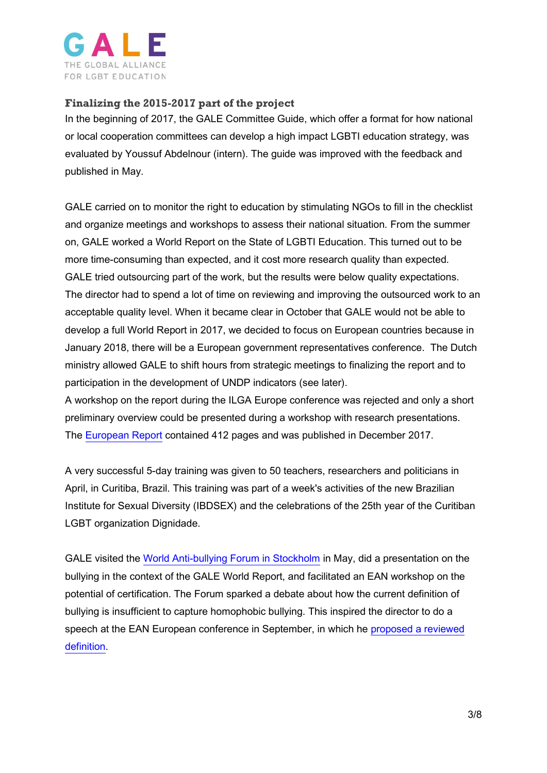

### **Finalizing the 2015-2017 part of the project**

In the beginning of 2017, the GALE Committee Guide, which offer a format for how national or local cooperation committees can develop a high impact LGBTI education strategy, was evaluated by Youssuf Abdelnour (intern). The guide was improved with the feedback and published in May.

GALE carried on to monitor the right to education by stimulating NGOs to fill in the checklist and organize meetings and workshops to assess their national situation. From the summer on, GALE worked a World Report on the State of LGBTI Education. This turned out to be more time-consuming than expected, and it cost more research quality than expected. GALE tried outsourcing part of the work, but the results were below quality expectations. The director had to spend a lot of time on reviewing and improving the outsourced work to an acceptable quality level. When it became clear in October that GALE would not be able to develop a full World Report in 2017, we decided to focus on European countries because in January 2018, there will be a European government representatives conference. The Dutch ministry allowed GALE to shift hours from strategic meetings to finalizing the report and to participation in the development of UNDP indicators (see later).

A workshop on the report during the ILGA Europe conference was rejected and only a short preliminary overview could be presented during a workshop with research presentations. The [European Report](https://www.gale.info/en/news/gale/171224-gale-publishes-first-overview-of-lgbti-education-in-europe) contained 412 pages and was published in December 2017.

A very successful 5-day training was given to 50 teachers, researchers and politicians in April, in Curitiba, Brazil. This training was part of a week's activities of the new Brazilian Institute for Sexual Diversity (IBDSEX) and the celebrations of the 25th year of the Curitiban LGBT organization Dignidade.

GALE visited the [World Anti-bullying Forum in Stockholm](https://www.gale.info/en/news/global_news/170627-first-global-conference-on-bullying-features-attention-to-homophobic-bullying) in May, did a presentation on the bullying in the context of the GALE World Report, and facilitated an EAN workshop on the potential of certification. The Forum sparked a debate about how the current definition of bullying is insufficient to capture homophobic bullying. This inspired the director to do a speech at the EAN European conference in September, in which he [proposed a reviewed](https://www.gale.info/en/news/gale/171001-gale-proposes-adapted-definition-of-bullying)  [definition.](https://www.gale.info/en/news/gale/171001-gale-proposes-adapted-definition-of-bullying)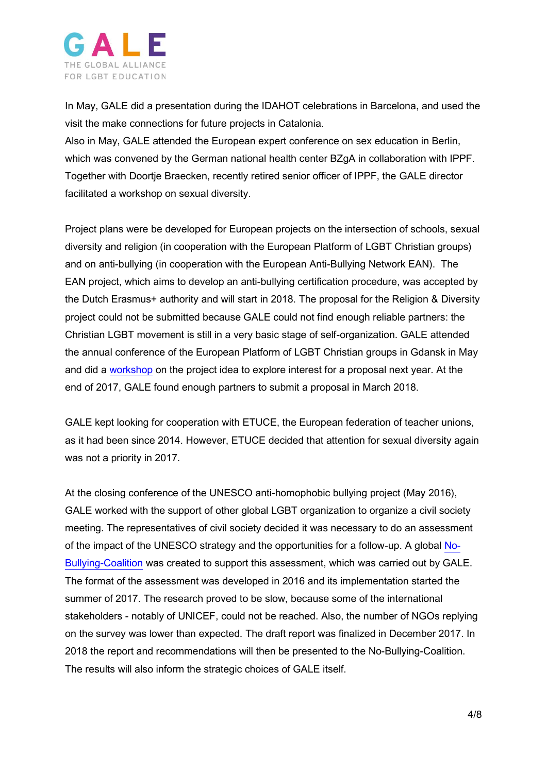

In May, GALE did a presentation during the IDAHOT celebrations in Barcelona, and used the visit the make connections for future projects in Catalonia.

Also in May, GALE attended the European expert conference on sex education in Berlin, which was convened by the German national health center BZgA in collaboration with IPPF. Together with Doortje Braecken, recently retired senior officer of IPPF, the GALE director facilitated a workshop on sexual diversity.

Project plans were be developed for European projects on the intersection of schools, sexual diversity and religion (in cooperation with the European Platform of LGBT Christian groups) and on anti-bullying (in cooperation with the European Anti-Bullying Network EAN). The EAN project, which aims to develop an anti-bullying certification procedure, was accepted by the Dutch Erasmus+ authority and will start in 2018. The proposal for the Religion & Diversity project could not be submitted because GALE could not find enough reliable partners: the Christian LGBT movement is still in a very basic stage of self-organization. GALE attended the annual conference of the European Platform of LGBT Christian groups in Gdansk in May and did a [workshop](https://www.gale.info/en/news/gale/170527-gale-and-lgbtchristians-want-cooperation-with-religious-schools) on the project idea to explore interest for a proposal next year. At the end of 2017, GALE found enough partners to submit a proposal in March 2018.

GALE kept looking for cooperation with ETUCE, the European federation of teacher unions, as it had been since 2014. However, ETUCE decided that attention for sexual diversity again was not a priority in 2017.

At the closing conference of the UNESCO anti-homophobic bullying project (May 2016), GALE worked with the support of other global LGBT organization to organize a civil society meeting. The representatives of civil society decided it was necessary to do an assessment of the impact of the UNESCO strategy and the opportunities for a follow-up. A global [No-](http://www.gale.info/no-bullying-coalition)[Bullying-Coalition](http://www.gale.info/no-bullying-coalition) was created to support this assessment, which was carried out by GALE. The format of the assessment was developed in 2016 and its implementation started the summer of 2017. The research proved to be slow, because some of the international stakeholders - notably of UNICEF, could not be reached. Also, the number of NGOs replying on the survey was lower than expected. The draft report was finalized in December 2017. In 2018 the report and recommendations will then be presented to the No-Bullying-Coalition. The results will also inform the strategic choices of GALE itself.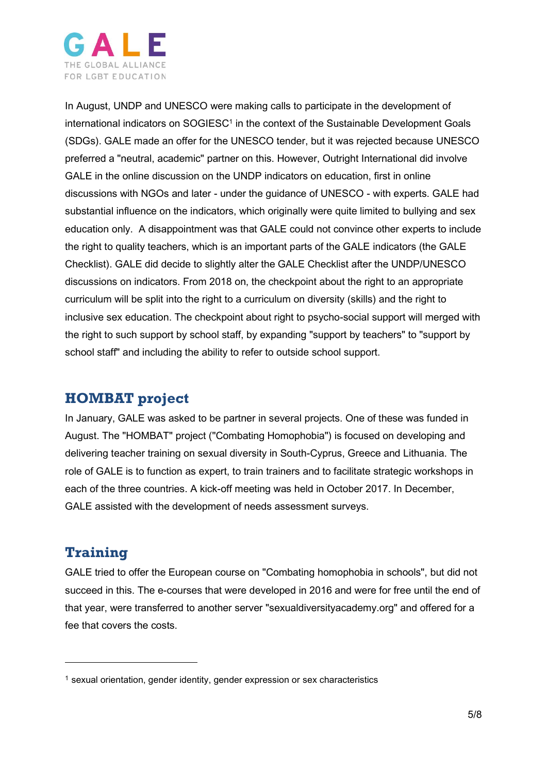

In August, UNDP and UNESCO were making calls to participate in the development of international indicators on SOGIESC<sup>1</sup> in the context of the Sustainable Development Goals (SDGs). GALE made an offer for the UNESCO tender, but it was rejected because UNESCO preferred a "neutral, academic" partner on this. However, Outright International did involve GALE in the online discussion on the UNDP indicators on education, first in online discussions with NGOs and later - under the guidance of UNESCO - with experts. GALE had substantial influence on the indicators, which originally were quite limited to bullying and sex education only. A disappointment was that GALE could not convince other experts to include the right to quality teachers, which is an important parts of the GALE indicators (the GALE Checklist). GALE did decide to slightly alter the GALE Checklist after the UNDP/UNESCO discussions on indicators. From 2018 on, the checkpoint about the right to an appropriate curriculum will be split into the right to a curriculum on diversity (skills) and the right to inclusive sex education. The checkpoint about right to psycho-social support will merged with the right to such support by school staff, by expanding "support by teachers" to "support by school staff" and including the ability to refer to outside school support.

### **HOMBAT project**

In January, GALE was asked to be partner in several projects. One of these was funded in August. The "HOMBAT" project ("Combating Homophobia") is focused on developing and delivering teacher training on sexual diversity in South-Cyprus, Greece and Lithuania. The role of GALE is to function as expert, to train trainers and to facilitate strategic workshops in each of the three countries. A kick-off meeting was held in October 2017. In December, GALE assisted with the development of needs assessment surveys.

## **Training**

GALE tried to offer the European course on "Combating homophobia in schools", but did not succeed in this. The e-courses that were developed in 2016 and were for free until the end of that year, were transferred to another server "sexualdiversityacademy.org" and offered for a fee that covers the costs.

 $1$  sexual orientation, gender identity, gender expression or sex characteristics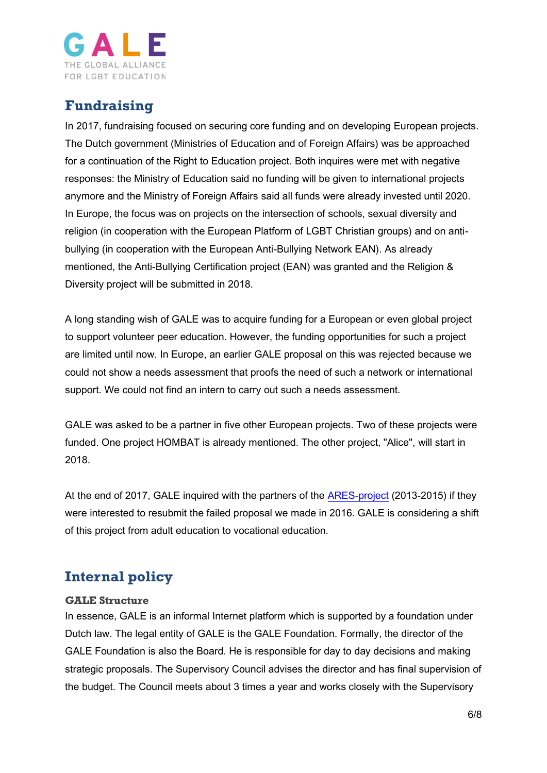

## **Fundraising**

In 2017, fundraising focused on securing core funding and on developing European projects. The Dutch government (Ministries of Education and of Foreign Affairs) was be approached for a continuation of the Right to Education project. Both inquires were met with negative responses: the Ministry of Education said no funding will be given to international projects anymore and the Ministry of Foreign Affairs said all funds were already invested until 2020. In Europe, the focus was on projects on the intersection of schools, sexual diversity and religion (in cooperation with the European Platform of LGBT Christian groups) and on antibullying (in cooperation with the European Anti-Bullying Network EAN). As already mentioned, the Anti-Bullying Certification project (EAN) was granted and the Religion & Diversity project will be submitted in 2018.

A long standing wish of GALE was to acquire funding for a European or even global project to support volunteer peer education. However, the funding opportunities for such a project are limited until now. In Europe, an earlier GALE proposal on this was rejected because we could not show a needs assessment that proofs the need of such a network or international support. We could not find an intern to carry out such a needs assessment.

GALE was asked to be a partner in five other European projects. Two of these projects were funded. One project HOMBAT is already mentioned. The other project, "Alice", will start in 2018.

At the end of 2017, GALE inquired with the partners of the [ARES-project](https://www.gale.info/en/projects/ares-project) (2013-2015) if they were interested to resubmit the failed proposal we made in 2016. GALE is considering a shift of this project from adult education to vocational education.

## **Internal policy**

### **GALE Structure**

In essence, GALE is an informal Internet platform which is supported by a foundation under Dutch law. The legal entity of GALE is the GALE Foundation. Formally, the director of the GALE Foundation is also the Board. He is responsible for day to day decisions and making strategic proposals. The Supervisory Council advises the director and has final supervision of the budget. The Council meets about 3 times a year and works closely with the Supervisory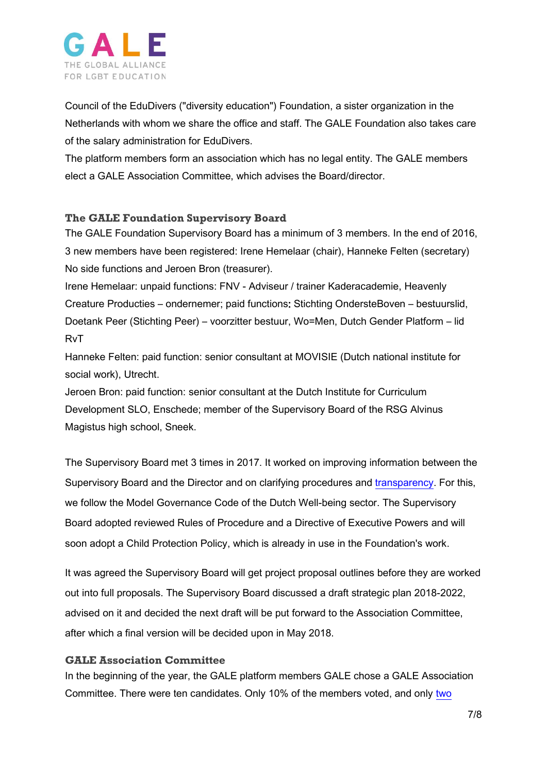

Council of the EduDivers ("diversity education") Foundation, a sister organization in the Netherlands with whom we share the office and staff. The GALE Foundation also takes care of the salary administration for EduDivers.

The platform members form an association which has no legal entity. The GALE members elect a GALE Association Committee, which advises the Board/director.

### **The GALE Foundation Supervisory Board**

The GALE Foundation Supervisory Board has a minimum of 3 members. In the end of 2016, 3 new members have been registered: Irene Hemelaar (chair), Hanneke Felten (secretary) No side functions and Jeroen Bron (treasurer).

Irene Hemelaar: unpaid functions: FNV - Adviseur / trainer Kaderacademie, Heavenly Creature Producties – ondernemer; paid functions: Stichting OndersteBoven – bestuurslid, Doetank Peer (Stichting Peer) – voorzitter bestuur, Wo=Men, Dutch Gender Platform – lid RvT

Hanneke Felten: paid function: senior consultant at MOVISIE (Dutch national institute for social work), Utrecht.

Jeroen Bron: paid function: senior consultant at the Dutch Institute for Curriculum Development SLO, Enschede; member of the Supervisory Board of the RSG Alvinus Magistus high school, Sneek.

The Supervisory Board met 3 times in 2017. It worked on improving information between the Supervisory Board and the Director and on clarifying procedures and [transparency.](https://www.gale.info/en/foundation/accountability) For this, we follow the Model Governance Code of the Dutch Well-being sector. The Supervisory Board adopted reviewed Rules of Procedure and a Directive of Executive Powers and will soon adopt a Child Protection Policy, which is already in use in the Foundation's work.

It was agreed the Supervisory Board will get project proposal outlines before they are worked out into full proposals. The Supervisory Board discussed a draft strategic plan 2018-2022, advised on it and decided the next draft will be put forward to the Association Committee, after which a final version will be decided upon in May 2018.

### **GALE Association Committee**

In the beginning of the year, the GALE platform members GALE chose a GALE Association Committee. There were ten candidates. Only 10% of the members voted, and only [two](https://www.gale.info/en/news/gale/170409-two-candidates-elected-for-gale-committee)